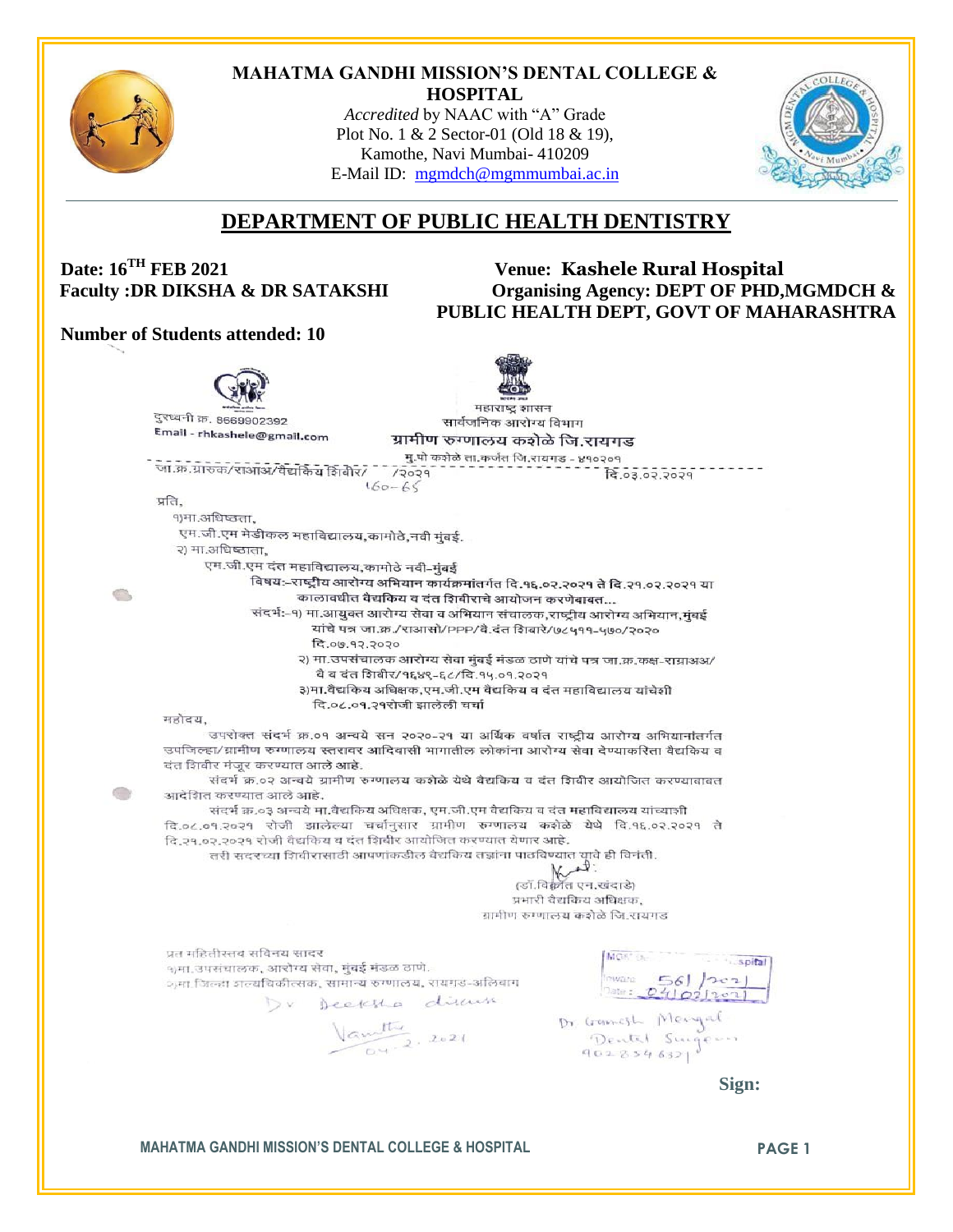

#### **MAHATMA GANDHI MISSION'S DENTAL COLLEGE & HOSPITAL**

*Accredited* by NAAC with "A" Grade Plot No. 1 & 2 Sector-01 (Old 18 & 19), Kamothe, Navi Mumbai- 410209 E-Mail ID: [mgmdch@mgmmumbai.ac.in](mailto:mgmdch@mgmmumbai.ac.in)



# **DEPARTMENT OF PUBLIC HEALTH DENTISTRY**

## **Date: 16TH FEB 2021 Venue: Kashele Rural Hospital** Faculty :DR DIKSHA & DR SATAKSHI Organising Agency: DEPT OF PHD, MGMDCH & **PUBLIC HEALTH DEPT, GOVT OF MAHARASHTRA**

#### **Number of Students attended: 10**

महाराष्ट शासन दुरध्वनी क्र. 8669902392 सार्वजनिक आरोग्य विभाग Email - rhkashele@gmail.com ग्रामीण रुग्णालय कशेळे जि.रायगड मु.पो कशेळे ता.कर्जत जि.रायगड - ४१०२०१ जा.क्र.ग्रारुक/राआअ/वैद्यकिय शिबीर/ - /२०२१  $160 - 65$ प्रति. १)मा.अधिष्ठता. एम.जी.एम मेडीकल महाविद्यालय,कामोठे,नवी मुंबई. २) मा.अधिष्ठाता. एम.जी.एम दंत महाविद्यालय,कामोठे नवी-मुंबई विषय:-राष्ट्रीय आरोग्य अभियान कार्यक्रमांतर्गत दि.१६.०२.२०२१ ते दि.२१.०२.२०२१ या G, कालावधीत वैद्यकिय व दंत शिबीराचे आयोजन करणेबाबत... संदर्भ:-१) मा.आयुक्त आरोग्य सेवा व अभियान संचालक,राष्ट्रीय आरोग्य अभियान,मुंबई यांचे पत्र जा.क्र./राआसो/PPP/वै.दंत शिवारे/७८५११-५७०/२०२० दि.०७.१२.२०२० २) मा.उपसंचालक आरोग्य सेवा मुंबई मंडळ ठाणे यांचे पत्र जा.क्र.कक्ष-राग्राअअ/ वै व दंत शिबीर/१६४९-६८/दि.१५.०१.२०२१ ३)मा.वैद्यकिय अधिक्षक,एम.जी.एम वैद्यकिय व दंत महाविद्यालय यांचेशी दि.०८.०१.२१रोजी झालेली चर्चा महोदय, उपरोक्त संदर्भ क्र.०१ अन्वये सन २०२०-२१ या अर्थिक वर्षात राष्ट्रीय आरोग्य अभियानांतर्गत उपजिल्हा/ग्रामीण रूग्णालय स्तरावर आदिवासी भागातील लोकांना आरोग्य सेवा देण्याकरिता वैद्यकिय व दंत शिवीर मंजूर करण्यात आले आहे. संदर्भ क्र.०२ अन्वये ग्रामीण रुग्णालय करोळे येथे वैद्यकिय व दंत शिवीर आयोजित करण्याबाबत  $\circ$ आदेशित करण्यात आले आहे. संदर्भ क्र.०३ अन्वये मा.वैद्यकिय अधिक्षक, एम.जी.एम वैद्यकिय व दंत महाविद्यालय यांच्याशी दि.०८.०१.२०२१ रोजी झालेल्या चर्चानुसार ग्रामीण रुग्णालय करोळे येथे दि.१६.०२.२०२१ ते दि.२१.०२.२०२१ रोजी वैद्यकिय व दंत शिबीर आयोजित करण्यात येणार आहे. तरी सदरच्या शिवीरासाठी आपणांकडील वैद्यकिय तज्ञांना पाठविण्यात यावे ही विनंती. ्री:<br>(डॉ.विक्रांत एन.खंदाडे) प्रभारी वैद्यकिय अधिक्षक, ग्रामीण रुग्णालय कडोळे जि रायगड प्रत महितीस्तव सविनय सादर MOS" Out s spital १)मा. उपसंचालक, आरोग्य सेवा, मुंबई मंडळ ठाणे.  $v_{\text{wave}}$  56]  $|2e_1|$ शमा जिल्हा शल्यचिकीत्सक, सामान्य रुग्णालय, रायगड-अलिबाग  $\frac{56}{24021201}$ Dr Deeksha disam  $\frac{V_{G}}{V_{G}}$  2021 Dr Gamesh Mengal<br>Dental Singe- **Sign:**

**MAHATMA GANDHI MISSION'S DENTAL COLLEGE & HOSPITAL PAGE 1**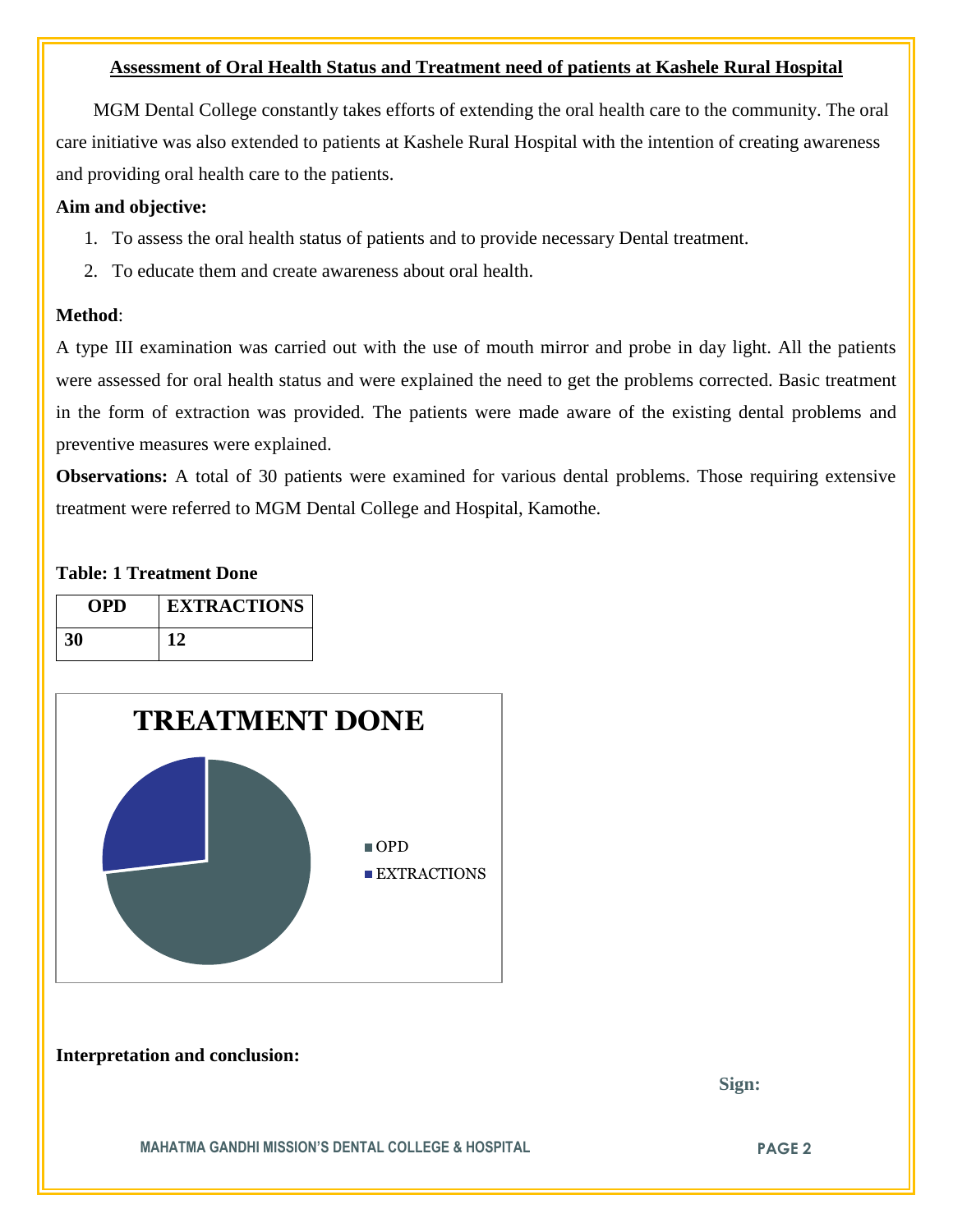### **Assessment of Oral Health Status and Treatment need of patients at Kashele Rural Hospital**

 MGM Dental College constantly takes efforts of extending the oral health care to the community. The oral care initiative was also extended to patients at Kashele Rural Hospital with the intention of creating awareness and providing oral health care to the patients.

## **Aim and objective:**

- 1. To assess the oral health status of patients and to provide necessary Dental treatment.
- 2. To educate them and create awareness about oral health.

#### **Method**:

A type III examination was carried out with the use of mouth mirror and probe in day light. All the patients were assessed for oral health status and were explained the need to get the problems corrected. Basic treatment in the form of extraction was provided. The patients were made aware of the existing dental problems and preventive measures were explained.

**Observations:** A total of 30 patients were examined for various dental problems. Those requiring extensive treatment were referred to MGM Dental College and Hospital, Kamothe.

### **Table: 1 Treatment Done**

| <b>OPD</b> | <b>EXTRACTIONS</b> |
|------------|--------------------|
| 30         |                    |



**Interpretation and conclusion:** 

 **Sign:**

**MAHATMA GANDHI MISSION'S DENTAL COLLEGE & HOSPITAL PAGE 2**